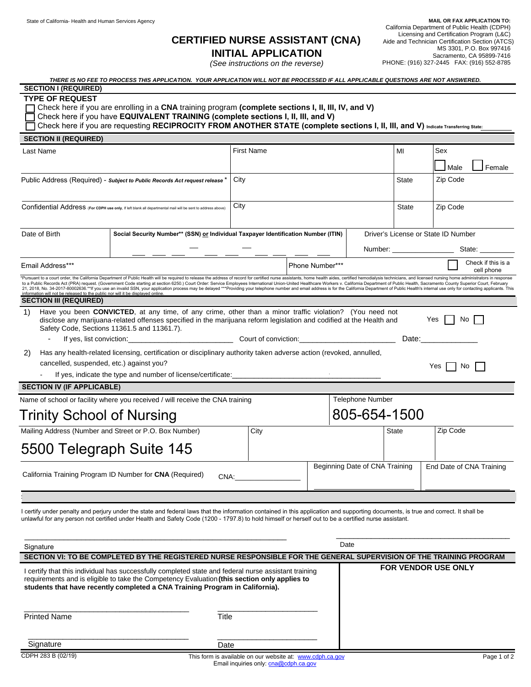# **CERTIFIED NURSE ASSISTANT (CNA) INITIAL APPLICATION**

*(See instructions on the reverse)* 

 **MAIL OR FAX APPLICATION TO:**  California Department of Public Health (CDPH) Licensing and Certification Program (L&C) Aide and Technician Certification Section (ATCS) MS 3301, P.O. Box 997416 Sacramento, CA 95899-7416 PHONE: (916) 327-2445 FAX: (916) 552-8785

| THERE IS NO FEE TO PROCESS THIS APPLICATION. YOUR APPLICATION WILL NOT BE PROCESSED IF ALL APPLICABLE QUESTIONS ARE NOT ANSWERED. |
|-----------------------------------------------------------------------------------------------------------------------------------|
|                                                                                                                                   |

## **SECTION I (REQUIRED) TYPE OF REQUEST**

Check here if you are enrolling in a **CNA** training program **(complete sections I, II, III, IV, and V)** Check here if you have **EQUIVALENT TRAINING (complete sections I, II, III, and V)** 

Check here if you are requesting **RECIPROCITY FROM ANOTHER STATE (complete sections I, II, III, and V) Indicate Transferring State:**

| <b>SECTION II (REQUIRED)</b>                                                                                                                                                                                                                                                                                                        |                                                                                                                                                                                                                                                                                                                                                                                                                                                                                                                                                                                                                                                                                                    |                                                                                    |  |                    |                                     |                        |  |
|-------------------------------------------------------------------------------------------------------------------------------------------------------------------------------------------------------------------------------------------------------------------------------------------------------------------------------------|----------------------------------------------------------------------------------------------------------------------------------------------------------------------------------------------------------------------------------------------------------------------------------------------------------------------------------------------------------------------------------------------------------------------------------------------------------------------------------------------------------------------------------------------------------------------------------------------------------------------------------------------------------------------------------------------------|------------------------------------------------------------------------------------|--|--------------------|-------------------------------------|------------------------|--|
| Last Name                                                                                                                                                                                                                                                                                                                           |                                                                                                                                                                                                                                                                                                                                                                                                                                                                                                                                                                                                                                                                                                    | <b>First Name</b>                                                                  |  |                    | MI                                  | Sex                    |  |
|                                                                                                                                                                                                                                                                                                                                     |                                                                                                                                                                                                                                                                                                                                                                                                                                                                                                                                                                                                                                                                                                    |                                                                                    |  |                    |                                     | Male<br>Female         |  |
| Public Address (Required) - Subject to Public Records Act request release *                                                                                                                                                                                                                                                         |                                                                                                                                                                                                                                                                                                                                                                                                                                                                                                                                                                                                                                                                                                    | City                                                                               |  |                    | State                               | Zip Code               |  |
|                                                                                                                                                                                                                                                                                                                                     |                                                                                                                                                                                                                                                                                                                                                                                                                                                                                                                                                                                                                                                                                                    |                                                                                    |  |                    |                                     |                        |  |
| Confidential Address (For CDPH use only, If left blank all departmental mail will be sent to address above)                                                                                                                                                                                                                         |                                                                                                                                                                                                                                                                                                                                                                                                                                                                                                                                                                                                                                                                                                    | City                                                                               |  | <b>State</b>       | Zip Code                            |                        |  |
|                                                                                                                                                                                                                                                                                                                                     |                                                                                                                                                                                                                                                                                                                                                                                                                                                                                                                                                                                                                                                                                                    |                                                                                    |  |                    |                                     |                        |  |
| Date of Birth                                                                                                                                                                                                                                                                                                                       |                                                                                                                                                                                                                                                                                                                                                                                                                                                                                                                                                                                                                                                                                                    | Social Security Number** (SSN) or Individual Taxpayer Identification Number (ITIN) |  |                    | Driver's License or State ID Number |                        |  |
|                                                                                                                                                                                                                                                                                                                                     |                                                                                                                                                                                                                                                                                                                                                                                                                                                                                                                                                                                                                                                                                                    |                                                                                    |  |                    |                                     | Number: State:         |  |
| Email Address***                                                                                                                                                                                                                                                                                                                    | Phone Number***<br>cell phone                                                                                                                                                                                                                                                                                                                                                                                                                                                                                                                                                                                                                                                                      |                                                                                    |  | Check if this is a |                                     |                        |  |
| information will not be released to the public nor will it be displayed online.                                                                                                                                                                                                                                                     | *Pursuant to a court order, the California Department of Public Health will be required to release the address of record for certified nurse assistants, home health aides, certified hemodialysis technicians, and licensed n<br>to a Public Records Act (PRA) request. (Government Code starting at section 6250.) Court Order: Service Employees International Union-United Healthcare Workers v. California Department of Public Health, Sacramento County S<br>21, 2018, No. 34-2017-80002636.**If you use an invalid SSN, your application process may be delayed ***Providing your telephone number and email address is for the California Department of Public Health's internal use only |                                                                                    |  |                    |                                     |                        |  |
| <b>SECTION III (REQUIRED)</b>                                                                                                                                                                                                                                                                                                       |                                                                                                                                                                                                                                                                                                                                                                                                                                                                                                                                                                                                                                                                                                    |                                                                                    |  |                    |                                     |                        |  |
| Have you been <b>CONVICTED</b> , at any time, of any crime, other than a minor traffic violation? (You need not<br>1)<br>Yes     No<br>disclose any marijuana-related offenses specified in the marijuana reform legislation and codified at the Health and<br>Safety Code, Sections 11361.5 and 11361.7).                          |                                                                                                                                                                                                                                                                                                                                                                                                                                                                                                                                                                                                                                                                                                    |                                                                                    |  |                    |                                     |                        |  |
|                                                                                                                                                                                                                                                                                                                                     |                                                                                                                                                                                                                                                                                                                                                                                                                                                                                                                                                                                                                                                                                                    | Date:_                                                                             |  |                    |                                     |                        |  |
| 2)                                                                                                                                                                                                                                                                                                                                  | Has any health-related licensing, certification or disciplinary authority taken adverse action (revoked, annulled,                                                                                                                                                                                                                                                                                                                                                                                                                                                                                                                                                                                 |                                                                                    |  |                    |                                     |                        |  |
| cancelled, suspended, etc.) against you?                                                                                                                                                                                                                                                                                            |                                                                                                                                                                                                                                                                                                                                                                                                                                                                                                                                                                                                                                                                                                    |                                                                                    |  |                    |                                     | Yes $ $ $ $ No $ $ $ $ |  |
|                                                                                                                                                                                                                                                                                                                                     | If yes, indicate the type and number of license/certificate:<br>[16] yes, indicate the type and number of license/certificate:                                                                                                                                                                                                                                                                                                                                                                                                                                                                                                                                                                     |                                                                                    |  |                    |                                     |                        |  |
| <b>SECTION IV (IF APPLICABLE)</b>                                                                                                                                                                                                                                                                                                   |                                                                                                                                                                                                                                                                                                                                                                                                                                                                                                                                                                                                                                                                                                    |                                                                                    |  |                    |                                     |                        |  |
| Name of school or facility where you received / will receive the CNA training                                                                                                                                                                                                                                                       | <b>Telephone Number</b>                                                                                                                                                                                                                                                                                                                                                                                                                                                                                                                                                                                                                                                                            |                                                                                    |  |                    |                                     |                        |  |
| Trinity School of Nursing                                                                                                                                                                                                                                                                                                           |                                                                                                                                                                                                                                                                                                                                                                                                                                                                                                                                                                                                                                                                                                    | 805-654-1500                                                                       |  |                    |                                     |                        |  |
|                                                                                                                                                                                                                                                                                                                                     | Mailing Address (Number and Street or P.O. Box Number)                                                                                                                                                                                                                                                                                                                                                                                                                                                                                                                                                                                                                                             | City                                                                               |  |                    | <b>State</b>                        | Zip Code               |  |
| 5500 Telegraph Suite 145                                                                                                                                                                                                                                                                                                            |                                                                                                                                                                                                                                                                                                                                                                                                                                                                                                                                                                                                                                                                                                    |                                                                                    |  |                    |                                     |                        |  |
| Beginning Date of CNA Training<br>California Training Program ID Number for <b>CNA</b> (Required)<br>CNA: the contract of the contract of the contract of the contract of the contract of the contract of the contract of the contract of the contract of the contract of the contract of the contract of the contract of the contr |                                                                                                                                                                                                                                                                                                                                                                                                                                                                                                                                                                                                                                                                                                    |                                                                                    |  |                    | End Date of CNA Training            |                        |  |
|                                                                                                                                                                                                                                                                                                                                     |                                                                                                                                                                                                                                                                                                                                                                                                                                                                                                                                                                                                                                                                                                    |                                                                                    |  |                    |                                     |                        |  |
|                                                                                                                                                                                                                                                                                                                                     | I certify under penalty and perjury under the state and federal laws that the information contained in this application and supporting documents, is true and correct. It shall be<br>unlawful for any person not certified under Health and Safety Code (1200 - 1797.8) to hold himself or herself out to be a certified nurse assistant.                                                                                                                                                                                                                                                                                                                                                         |                                                                                    |  |                    |                                     |                        |  |
| Date<br>Signature                                                                                                                                                                                                                                                                                                                   |                                                                                                                                                                                                                                                                                                                                                                                                                                                                                                                                                                                                                                                                                                    |                                                                                    |  |                    |                                     |                        |  |
|                                                                                                                                                                                                                                                                                                                                     | CECTION VI. TO BE COMBLETED BY THE REGISTERED NURGE RESPONSIBLE FOR THE CENERAL SHREDVISION OF THE TRAINING RROOD AM                                                                                                                                                                                                                                                                                                                                                                                                                                                                                                                                                                               |                                                                                    |  |                    |                                     |                        |  |

|                     | SECTION VI: TO BE COMPLETED BY THE REGISTERED NURSE RESPONSIBLE FOR THE GENERAL SUPERVISION OF THE TRAINING PROGRAM<br>I certify that this individual has successfully completed state and federal nurse assistant training<br>requirements and is eligible to take the Competency Evaluation (this section only applies to<br>students that have recently completed a CNA Training Program in California). | <b>FOR VENDOR USE ONLY</b> |
|---------------------|-------------------------------------------------------------------------------------------------------------------------------------------------------------------------------------------------------------------------------------------------------------------------------------------------------------------------------------------------------------------------------------------------------------|----------------------------|
| <b>Printed Name</b> | Title                                                                                                                                                                                                                                                                                                                                                                                                       |                            |
| Signature           | Date                                                                                                                                                                                                                                                                                                                                                                                                        |                            |
| CDPH 283 B (02/19)  | This form is available on our website at: www.cdph.ca.gov                                                                                                                                                                                                                                                                                                                                                   | Page 1 of 2                |